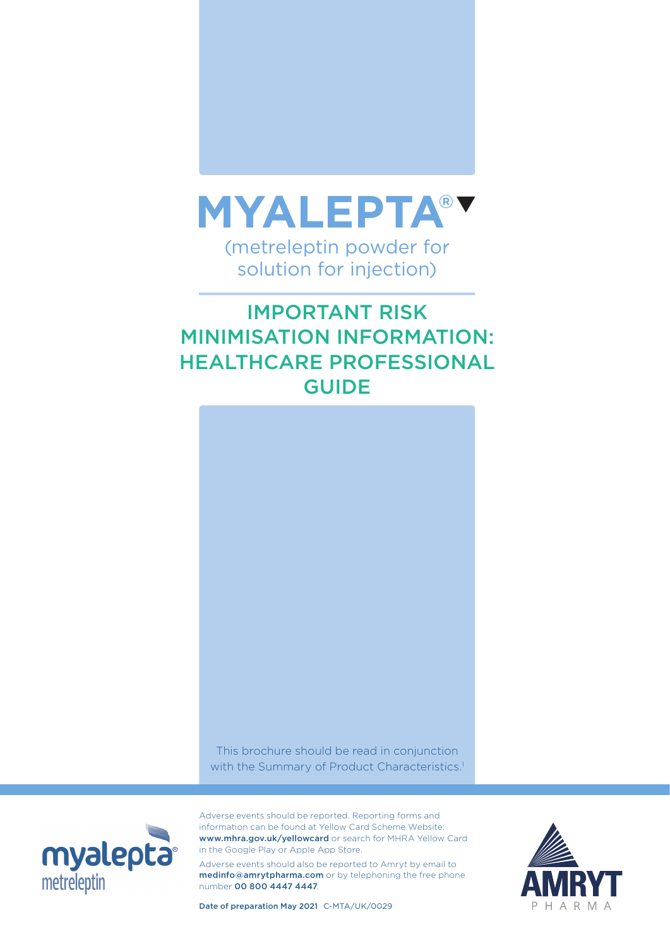

# IMPORTANT RISK MINIMISATION INFORMATION: HEALTHCARE PROFESSIONAL GUIDE



This brochure should be read in conjunction with the Summary of Product Characteristics.<sup>1</sup>



Adverse events should be reported. Reporting forms and information can be found at Yellow Card Scheme Website: www.mhra.gov.uk/yellowcard or search for MHRA Yellow Card in the Google Play or Apple App Store.

Adverse events should also be reported to Amryt by email to medinfo@amrytpharma.com or by telephoning the free phone number 00 800 4447 4447.



Date of preparation May 2021 C-MTA/UK/0029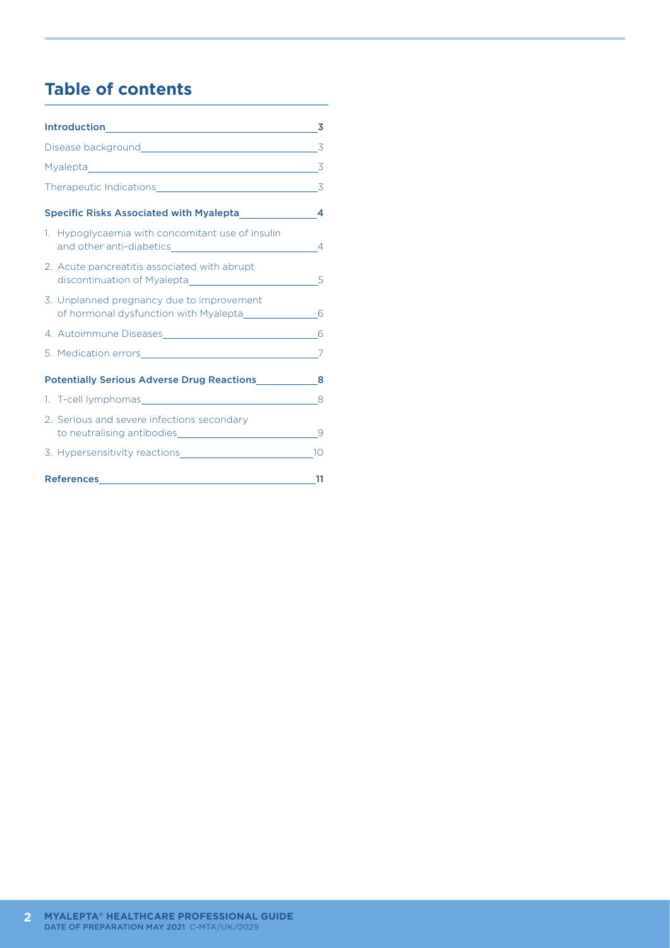# **Table of contents**

|  |                                                                                                                                                                                                                                                                                    | $\overline{\mathbf{3}}$ |
|--|------------------------------------------------------------------------------------------------------------------------------------------------------------------------------------------------------------------------------------------------------------------------------------|-------------------------|
|  |                                                                                                                                                                                                                                                                                    |                         |
|  |                                                                                                                                                                                                                                                                                    |                         |
|  |                                                                                                                                                                                                                                                                                    |                         |
|  | 1. Hypoglycaemia with concomitant use of insulin<br>and other anti-diabetics and other anti-diabetics and the state of the state of the state of the state of the state of the state of the state of the state of the state of the state of the state of the state of the state of |                         |
|  | 2. Acute pancreatitis associated with abrupt                                                                                                                                                                                                                                       |                         |
|  | 3. Unplanned pregnancy due to improvement<br>of hormonal dysfunction with Myalepta_______________                                                                                                                                                                                  | 6                       |
|  |                                                                                                                                                                                                                                                                                    | 6                       |
|  |                                                                                                                                                                                                                                                                                    | 7                       |
|  | Potentially Serious Adverse Drug Reactions______________8                                                                                                                                                                                                                          |                         |
|  |                                                                                                                                                                                                                                                                                    |                         |
|  | 2. Serious and severe infections secondary                                                                                                                                                                                                                                         | 9                       |
|  |                                                                                                                                                                                                                                                                                    | 10                      |
|  |                                                                                                                                                                                                                                                                                    | 11                      |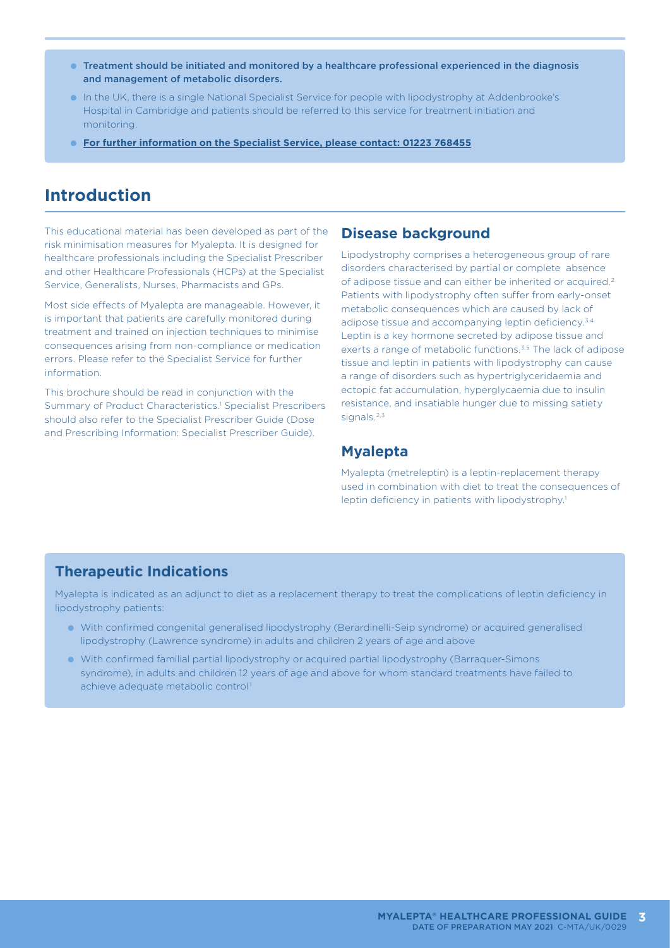- Treatment should be initiated and monitored by a healthcare professional experienced in the diagnosis and management of metabolic disorders.
- In the UK, there is a single National Specialist Service for people with lipodystrophy at Addenbrooke's Hospital in Cambridge and patients should be referred to this service for treatment initiation and monitoring.
- **For further information on the Specialist Service, please contact: 01223 768455**

## **Introduction**

This educational material has been developed as part of the risk minimisation measures for Myalepta. It is designed for healthcare professionals including the Specialist Prescriber and other Healthcare Professionals (HCPs) at the Specialist Service, Generalists, Nurses, Pharmacists and GPs.

Most side effects of Myalepta are manageable. However, it is important that patients are carefully monitored during treatment and trained on injection techniques to minimise consequences arising from non-compliance or medication errors. Please refer to the Specialist Service for further information.

This brochure should be read in conjunction with the Summary of Product Characteristics.<sup>1</sup> Specialist Prescribers should also refer to the Specialist Prescriber Guide (Dose and Prescribing Information: Specialist Prescriber Guide).

#### **Disease background**

Lipodystrophy comprises a heterogeneous group of rare disorders characterised by partial or complete absence of adipose tissue and can either be inherited or acquired.2 Patients with lipodystrophy often suffer from early-onset metabolic consequences which are caused by lack of adipose tissue and accompanying leptin deficiency.<sup>3,4</sup> Leptin is a key hormone secreted by adipose tissue and exerts a range of metabolic functions.<sup>3,5</sup> The lack of adipose tissue and leptin in patients with lipodystrophy can cause a range of disorders such as hypertriglyceridaemia and ectopic fat accumulation, hyperglycaemia due to insulin resistance, and insatiable hunger due to missing satiety signals.<sup>2,3</sup>

#### **Myalepta**

Myalepta (metreleptin) is a leptin-replacement therapy used in combination with diet to treat the consequences of leptin deficiency in patients with lipodystrophy.<sup>1</sup>

#### **Therapeutic Indications**

Myalepta is indicated as an adjunct to diet as a replacement therapy to treat the complications of leptin deficiency in lipodystrophy patients:

- With confirmed congenital generalised lipodystrophy (Berardinelli-Seip syndrome) or acquired generalised lipodystrophy (Lawrence syndrome) in adults and children 2 years of age and above
- With confirmed familial partial lipodystrophy or acquired partial lipodystrophy (Barraquer-Simons syndrome), in adults and children 12 years of age and above for whom standard treatments have failed to achieve adequate metabolic control1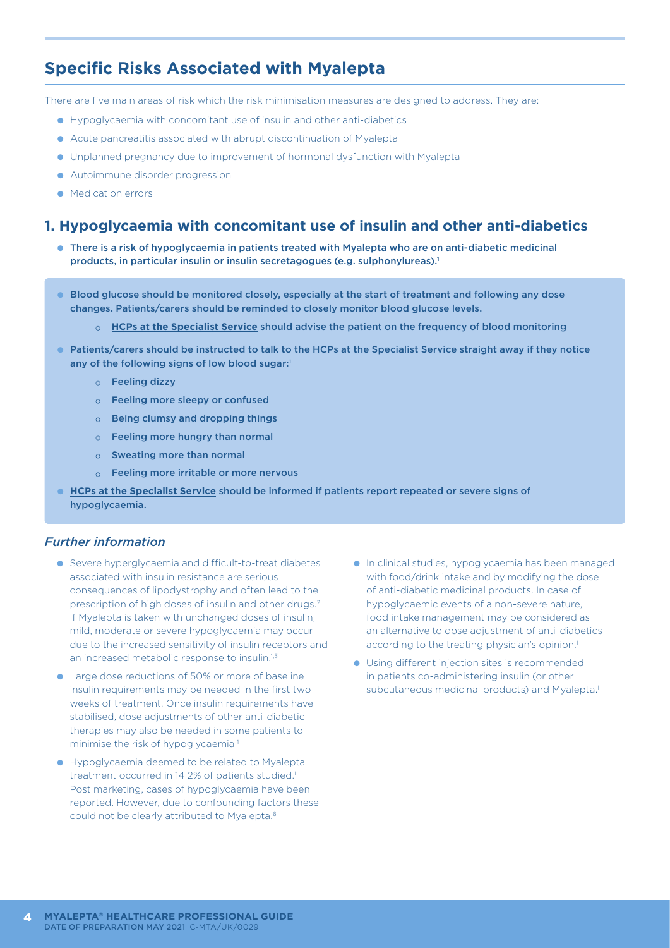## **Specific Risks Associated with Myalepta**

There are five main areas of risk which the risk minimisation measures are designed to address. They are:

- Hypoglycaemia with concomitant use of insulin and other anti-diabetics
- Acute pancreatitis associated with abrupt discontinuation of Myalepta
- Unplanned pregnancy due to improvement of hormonal dysfunction with Myalepta
- Autoimmune disorder progression
- Medication errors

#### **1. Hypoglycaemia with concomitant use of insulin and other anti-diabetics**

- There is a risk of hypoglycaemia in patients treated with Myalepta who are on anti-diabetic medicinal products, in particular insulin or insulin secretagogues (e.g. sulphonylureas).<sup>1</sup>
- Blood glucose should be monitored closely, especially at the start of treatment and following any dose changes. Patients/carers should be reminded to closely monitor blood glucose levels.
	- ● **HCPs at the Specialist Service** should advise the patient on the frequency of blood monitoring
- Patients/carers should be instructed to talk to the HCPs at the Specialist Service straight away if they notice any of the following signs of low blood sugar:1
	- $\circ$  Feeling dizzy
	- $\circ$  Feeling more sleepy or confused
	- $\circ$  Being clumsy and dropping things
	- $\circ$  Feeling more hungry than normal
	- $\circ$  Sweating more than normal
	- $\circ$  Feeling more irritable or more nervous
- **HCPs at the Specialist Service** should be informed if patients report repeated or severe signs of hypoglycaemia.

#### *Further information*

- Severe hyperglycaemia and difficult-to-treat diabetes associated with insulin resistance are serious consequences of lipodystrophy and often lead to the prescription of high doses of insulin and other drugs.2 If Myalepta is taken with unchanged doses of insulin, mild, moderate or severe hypoglycaemia may occur due to the increased sensitivity of insulin receptors and an increased metabolic response to insulin.<sup>1,3</sup>
- Large dose reductions of 50% or more of baseline insulin requirements may be needed in the first two weeks of treatment. Once insulin requirements have stabilised, dose adjustments of other anti-diabetic therapies may also be needed in some patients to minimise the risk of hypoglycaemia.<sup>1</sup>
- Hypoglycaemia deemed to be related to Myalepta treatment occurred in 14.2% of patients studied.<sup>1</sup> Post marketing, cases of hypoglycaemia have been reported. However, due to confounding factors these could not be clearly attributed to Myalepta.<sup>6</sup>
- In clinical studies, hypoglycaemia has been managed with food/drink intake and by modifying the dose of anti-diabetic medicinal products. In case of hypoglycaemic events of a non-severe nature, food intake management may be considered as an alternative to dose adjustment of anti-diabetics according to the treating physician's opinion.<sup>1</sup>
- Using different injection sites is recommended in patients co-administering insulin (or other subcutaneous medicinal products) and Myalepta.<sup>1</sup>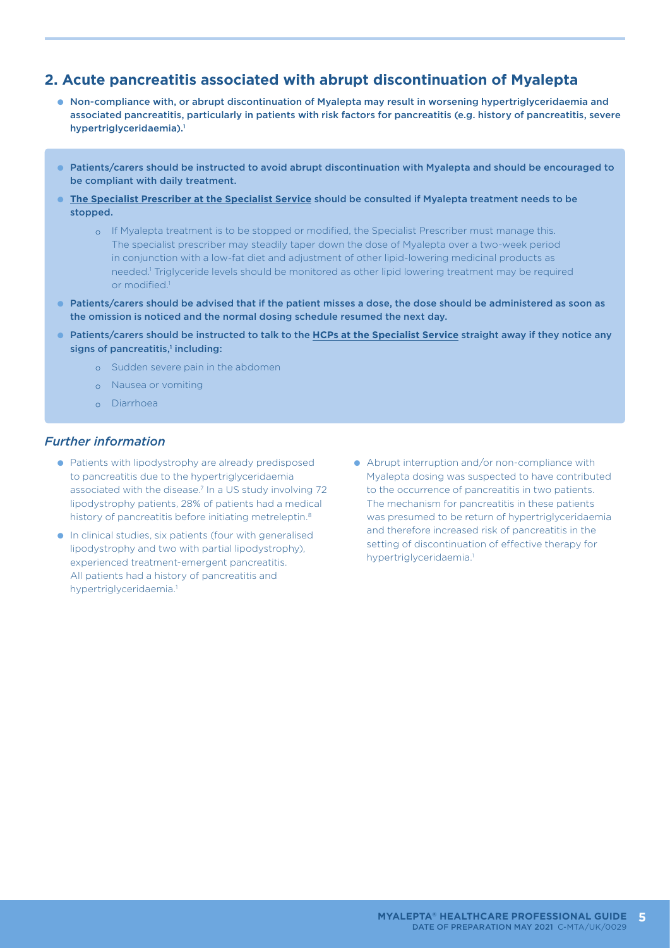## **2. Acute pancreatitis associated with abrupt discontinuation of Myalepta**

- Non-compliance with, or abrupt discontinuation of Myalepta may result in worsening hypertriglyceridaemia and associated pancreatitis, particularly in patients with risk factors for pancreatitis (e.g. history of pancreatitis, severe hypertriglyceridaemia).<sup>1</sup>
- Patients/carers should be instructed to avoid abrupt discontinuation with Myalepta and should be encouraged to be compliant with daily treatment.
- **The Specialist Prescriber at the Specialist Service** should be consulted if Myalepta treatment needs to be stopped.
	- o If Myalepta treatment is to be stopped or modified, the Specialist Prescriber must manage this. The specialist prescriber may steadily taper down the dose of Myalepta over a two-week period in conjunction with a low-fat diet and adjustment of other lipid-lowering medicinal products as needed.<sup>1</sup> Triglyceride levels should be monitored as other lipid lowering treatment may be required or modified.1
- Patients/carers should be advised that if the patient misses a dose, the dose should be administered as soon as the omission is noticed and the normal dosing schedule resumed the next day.
- Patients/carers should be instructed to talk to the **HCPs at the Specialist Service** straight away if they notice any signs of pancreatitis,<sup>1</sup> including:
	- o Sudden severe pain in the abdomen
	- o Nausea or vomiting
	- o Diarrhoea

#### *Further information*

- Patients with lipodystrophy are already predisposed to pancreatitis due to the hypertriglyceridaemia associated with the disease.7 In a US study involving 72 lipodystrophy patients, 28% of patients had a medical history of pancreatitis before initiating metreleptin.<sup>8</sup>
- In clinical studies, six patients (four with generalised lipodystrophy and two with partial lipodystrophy), experienced treatment-emergent pancreatitis. All patients had a history of pancreatitis and hypertriglyceridaemia.<sup>1</sup>
- Abrupt interruption and/or non-compliance with Myalepta dosing was suspected to have contributed to the occurrence of pancreatitis in two patients. The mechanism for pancreatitis in these patients was presumed to be return of hypertriglyceridaemia and therefore increased risk of pancreatitis in the setting of discontinuation of effective therapy for hypertriglyceridaemia.<sup>1</sup>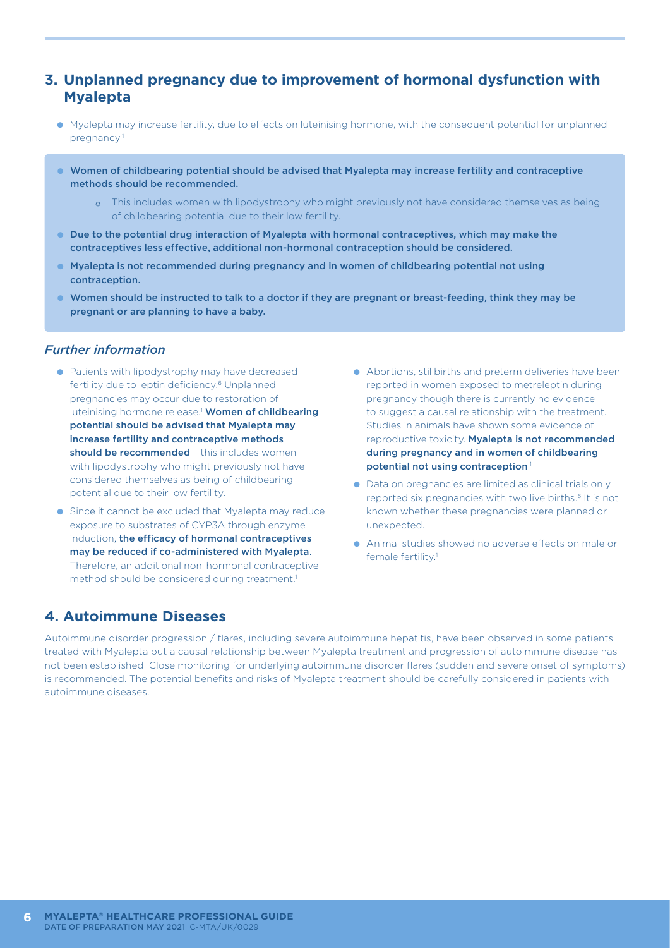## **3. Unplanned pregnancy due to improvement of hormonal dysfunction with Myalepta**

- Myalepta may increase fertility, due to effects on luteinising hormone, with the consequent potential for unplanned pregnancy.1
- Women of childbearing potential should be advised that Myalepta may increase fertility and contraceptive methods should be recommended.
	- o This includes women with lipodystrophy who might previously not have considered themselves as being of childbearing potential due to their low fertility.
- Due to the potential drug interaction of Myalepta with hormonal contraceptives, which may make the contraceptives less effective, additional non-hormonal contraception should be considered.
- Myalepta is not recommended during pregnancy and in women of childbearing potential not using contraception.
- Women should be instructed to talk to a doctor if they are pregnant or breast-feeding, think they may be pregnant or are planning to have a baby.

#### *Further information*

- Patients with lipodystrophy may have decreased fertility due to leptin deficiency.<sup>6</sup> Unplanned pregnancies may occur due to restoration of luteinising hormone release.<sup>1</sup> Women of childbearing potential should be advised that Myalepta may increase fertility and contraceptive methods should be recommended - this includes women with lipodystrophy who might previously not have considered themselves as being of childbearing potential due to their low fertility.
- Since it cannot be excluded that Myalepta may reduce exposure to substrates of CYP3A through enzyme induction, the efficacy of hormonal contraceptives may be reduced if co-administered with Myalepta. Therefore, an additional non-hormonal contraceptive method should be considered during treatment.<sup>1</sup>
- Abortions, stillbirths and preterm deliveries have been reported in women exposed to metreleptin during pregnancy though there is currently no evidence to suggest a causal relationship with the treatment. Studies in animals have shown some evidence of reproductive toxicity. Myalepta is not recommended during pregnancy and in women of childbearing potential not using contraception. 1
- Data on pregnancies are limited as clinical trials only reported six pregnancies with two live births.<sup>6</sup> It is not known whether these pregnancies were planned or unexpected.
- Animal studies showed no adverse effects on male or female fertility.<sup>1</sup>

## **4. Autoimmune Diseases**

Autoimmune disorder progression / flares, including severe autoimmune hepatitis, have been observed in some patients treated with Myalepta but a causal relationship between Myalepta treatment and progression of autoimmune disease has not been established. Close monitoring for underlying autoimmune disorder flares (sudden and severe onset of symptoms) is recommended. The potential benefits and risks of Myalepta treatment should be carefully considered in patients with autoimmune diseases.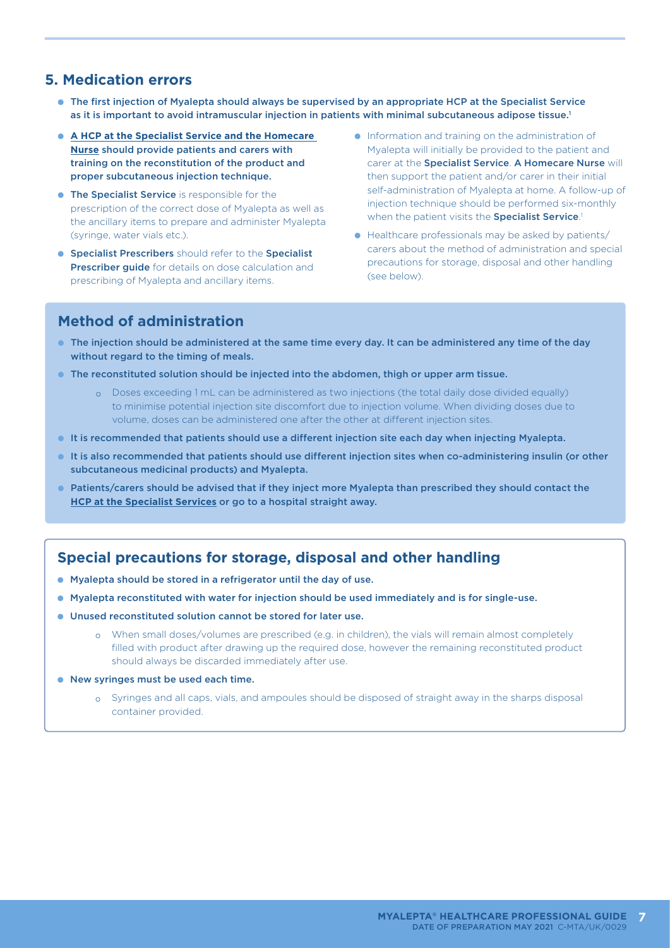## **5. Medication errors**

- The first injection of Myalepta should always be supervised by an appropriate HCP at the Specialist Service as it is important to avoid intramuscular injection in patients with minimal subcutaneous adipose tissue.<sup>1</sup>
- **A HCP at the Specialist Service and the Homecare Nurse** should provide patients and carers with training on the reconstitution of the product and proper subcutaneous injection technique.
- **The Specialist Service** is responsible for the prescription of the correct dose of Myalepta as well as the ancillary items to prepare and administer Myalepta (syringe, water vials etc.).
- **Specialist Prescribers** should refer to the Specialist Prescriber guide for details on dose calculation and prescribing of Myalepta and ancillary items.
- Information and training on the administration of Myalepta will initially be provided to the patient and carer at the Specialist Service. A Homecare Nurse will then support the patient and/or carer in their initial self-administration of Myalepta at home. A follow-up of injection technique should be performed six-monthly when the patient visits the Specialist Service.
- Healthcare professionals may be asked by patients/ carers about the method of administration and special precautions for storage, disposal and other handling (see below).

## **Method of administration**

- The injection should be administered at the same time every day. It can be administered any time of the day without regard to the timing of meals.
- The reconstituted solution should be injected into the abdomen, thigh or upper arm tissue.
	- ● Doses exceeding 1 mL can be administered as two injections (the total daily dose divided equally) to minimise potential injection site discomfort due to injection volume. When dividing doses due to volume, doses can be administered one after the other at different injection sites.
- It is recommended that patients should use a different injection site each day when injecting Myalepta.
- It is also recommended that patients should use different injection sites when co-administering insulin (or other subcutaneous medicinal products) and Myalepta.
- Patients/carers should be advised that if they inject more Myalepta than prescribed they should contact the **HCP at the Specialist Services** or go to a hospital straight away.

## **Special precautions for storage, disposal and other handling**

- Myalepta should be stored in a refrigerator until the day of use.
- Myalepta reconstituted with water for injection should be used immediately and is for single-use.
- Unused reconstituted solution cannot be stored for later use.
	- o When small doses/volumes are prescribed (e.g. in children), the vials will remain almost completely filled with product after drawing up the required dose, however the remaining reconstituted product should always be discarded immediately after use.
- New syringes must be used each time.
	- o Syringes and all caps, vials, and ampoules should be disposed of straight away in the sharps disposal container provided.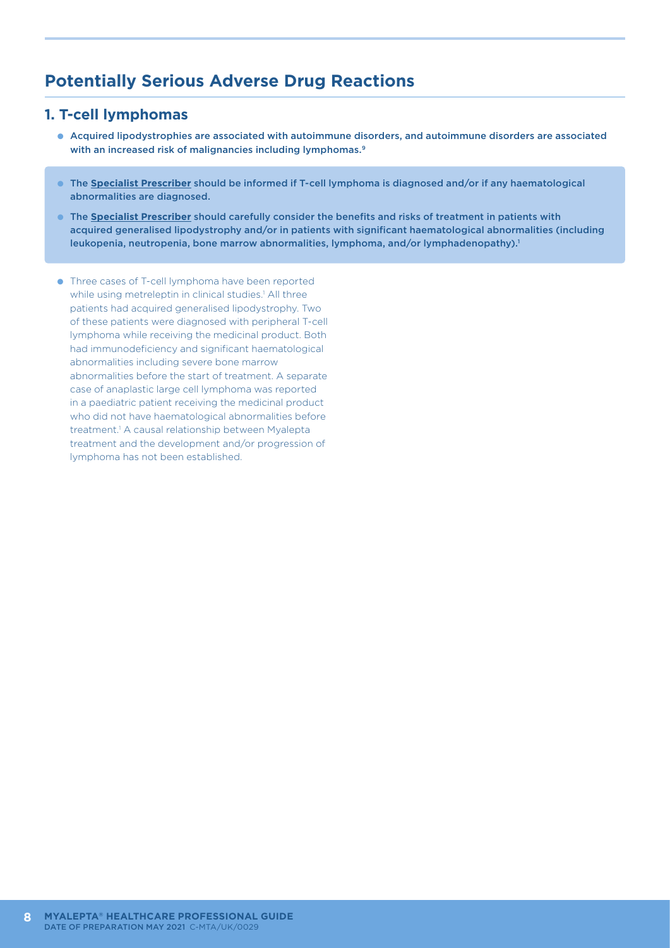## **Potentially Serious Adverse Drug Reactions**

#### **1. T-cell lymphomas**

- Acquired lipodystrophies are associated with autoimmune disorders, and autoimmune disorders are associated with an increased risk of malignancies including lymphomas.<sup>9</sup>
- The **Specialist Prescriber** should be informed if T-cell lymphoma is diagnosed and/or if any haematological abnormalities are diagnosed.
- The **Specialist Prescriber** should carefully consider the benefits and risks of treatment in patients with acquired generalised lipodystrophy and/or in patients with significant haematological abnormalities (including leukopenia, neutropenia, bone marrow abnormalities, lymphoma, and/or lymphadenopathy).<sup>1</sup>
- Three cases of T-cell lymphoma have been reported while using metreleptin in clinical studies.<sup>1</sup> All three patients had acquired generalised lipodystrophy. Two of these patients were diagnosed with peripheral T-cell lymphoma while receiving the medicinal product. Both had immunodeficiency and significant haematological abnormalities including severe bone marrow abnormalities before the start of treatment. A separate case of anaplastic large cell lymphoma was reported in a paediatric patient receiving the medicinal product who did not have haematological abnormalities before treatment.<sup>1</sup> A causal relationship between Myalepta treatment and the development and/or progression of lymphoma has not been established.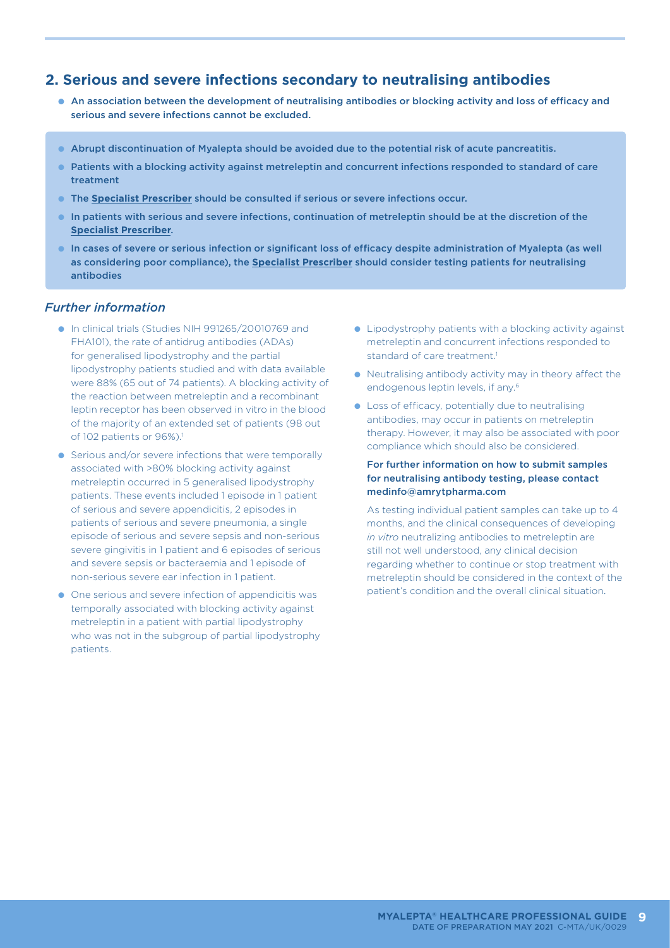#### **2. Serious and severe infections secondary to neutralising antibodies**

- An association between the development of neutralising antibodies or blocking activity and loss of efficacy and serious and severe infections cannot be excluded.
- Abrupt discontinuation of Myalepta should be avoided due to the potential risk of acute pancreatitis.
- Patients with a blocking activity against metreleptin and concurrent infections responded to standard of care treatment
- The **Specialist Prescriber** should be consulted if serious or severe infections occur.
- In patients with serious and severe infections, continuation of metreleptin should be at the discretion of the **Specialist Prescriber**.
- In cases of severe or serious infection or significant loss of efficacy despite administration of Myalepta (as well as considering poor compliance), the **Specialist Prescriber** should consider testing patients for neutralising antibodies

#### *Further information*

- In clinical trials (Studies NIH 991265/20010769 and FHA101), the rate of antidrug antibodies (ADAs) for generalised lipodystrophy and the partial lipodystrophy patients studied and with data available were 88% (65 out of 74 patients). A blocking activity of the reaction between metreleptin and a recombinant leptin receptor has been observed in vitro in the blood of the majority of an extended set of patients (98 out of 102 patients or 96%).<sup>1</sup>
- Serious and/or severe infections that were temporally associated with >80% blocking activity against metreleptin occurred in 5 generalised lipodystrophy patients. These events included 1 episode in 1 patient of serious and severe appendicitis, 2 episodes in patients of serious and severe pneumonia, a single episode of serious and severe sepsis and non-serious severe gingivitis in 1 patient and 6 episodes of serious and severe sepsis or bacteraemia and 1 episode of non-serious severe ear infection in 1 patient.
- One serious and severe infection of appendicitis was temporally associated with blocking activity against metreleptin in a patient with partial lipodystrophy who was not in the subgroup of partial lipodystrophy patients.
- Lipodystrophy patients with a blocking activity against metreleptin and concurrent infections responded to standard of care treatment.<sup>1</sup>
- Neutralising antibody activity may in theory affect the endogenous leptin levels, if any.6
- Loss of efficacy, potentially due to neutralising antibodies, may occur in patients on metreleptin therapy. However, it may also be associated with poor compliance which should also be considered.

#### For further information on how to submit samples for neutralising antibody testing, please contact medinfo@amrytpharma.com

As testing individual patient samples can take up to 4 months, and the clinical consequences of developing *in vitro* neutralizing antibodies to metreleptin are still not well understood, any clinical decision regarding whether to continue or stop treatment with metreleptin should be considered in the context of the patient's condition and the overall clinical situation.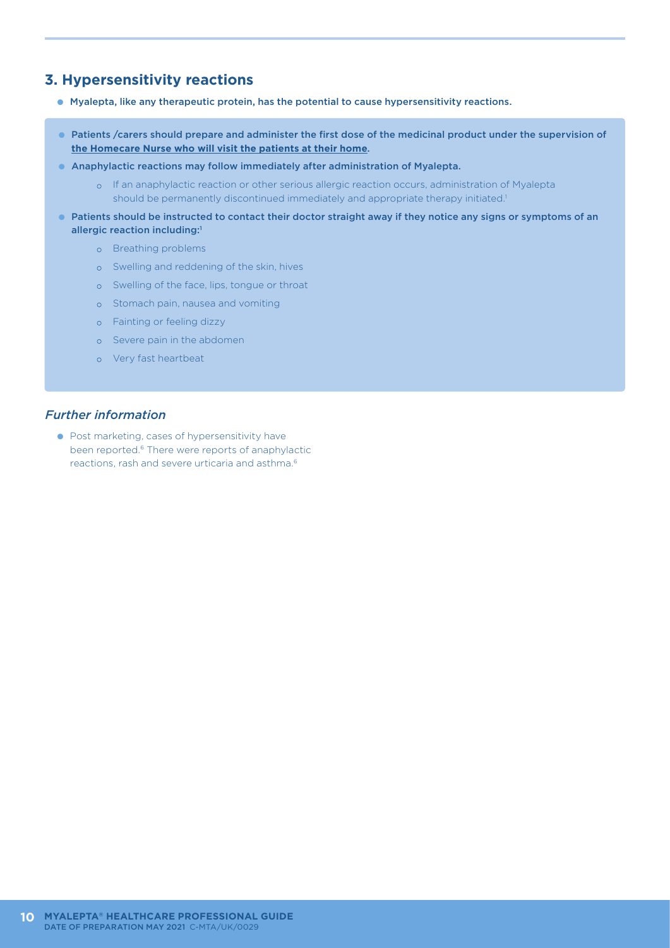## **3. Hypersensitivity reactions**

- Myalepta, like any therapeutic protein, has the potential to cause hypersensitivity reactions.
- Patients /carers should prepare and administer the first dose of the medicinal product under the supervision of **the Homecare Nurse who will visit the patients at their home**.
- Anaphylactic reactions may follow immediately after administration of Myalepta.
	- o If an anaphylactic reaction or other serious allergic reaction occurs, administration of Myalepta should be permanently discontinued immediately and appropriate therapy initiated.<sup>1</sup>
- Patients should be instructed to contact their doctor straight away if they notice any signs or symptoms of an allergic reaction including:1
	- o Breathing problems
	- o Swelling and reddening of the skin, hives
	- o Swelling of the face, lips, tongue or throat
	- o Stomach pain, nausea and vomiting
	- o Fainting or feeling dizzy
	- o Severe pain in the abdomen
	- o Very fast heartbeat

#### *Further information*

● Post marketing, cases of hypersensitivity have been reported.6 There were reports of anaphylactic reactions, rash and severe urticaria and asthma.6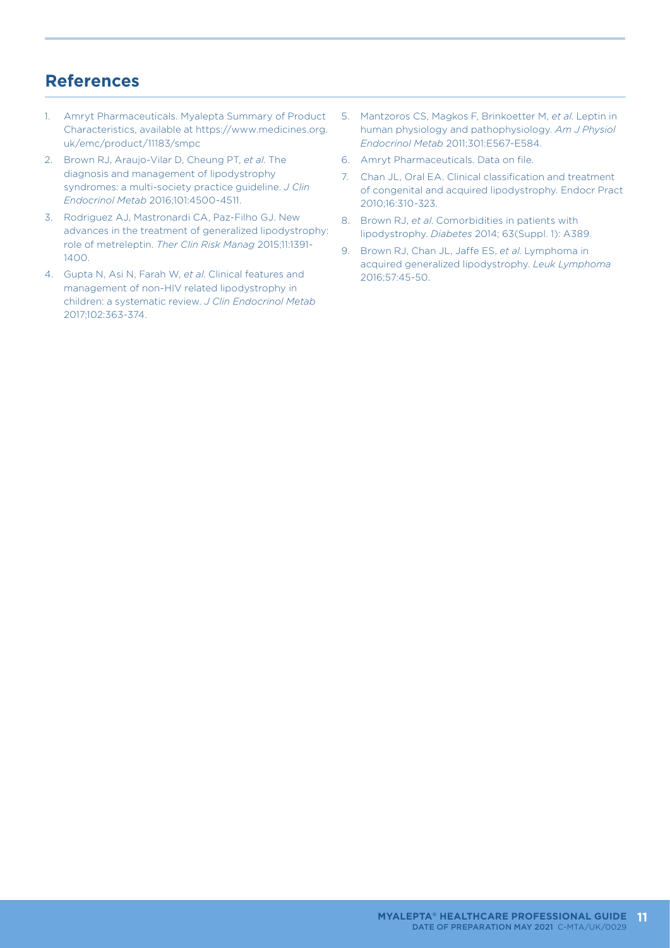## **References**

- 1. Amryt Pharmaceuticals. Myalepta Summary of Product Characteristics, available at https://www.medicines.org. uk/emc/product/11183/smpc
- 2. Brown RJ, Araujo-Vilar D, Cheung PT, *et al*. The diagnosis and management of lipodystrophy syndromes: a multi-society practice guideline. *J Clin Endocrinol Metab* 2016;101:4500-4511.
- 3. Rodriguez AJ, Mastronardi CA, Paz-Filho GJ. New advances in the treatment of generalized lipodystrophy: role of metreleptin. *Ther Clin Risk Manag* 2015;11:1391- 1400.
- 4. Gupta N, Asi N, Farah W, *et al*. Clinical features and management of non-HIV related lipodystrophy in children: a systematic review. *J Clin Endocrinol Metab* 2017;102:363-374.
- 5. Mantzoros CS, Magkos F, Brinkoetter M, *et al*. Leptin in human physiology and pathophysiology. *Am J Physiol Endocrinol Metab* 2011;301:E567-E584.
- 6. Amryt Pharmaceuticals. Data on file.
- 7. Chan JL, Oral EA. Clinical classification and treatment of congenital and acquired lipodystrophy. Endocr Pract 2010;16:310-323.
- 8. Brown RJ, *et al*. Comorbidities in patients with lipodystrophy. *Diabetes* 2014; 63(Suppl. 1): A389.
- 9. Brown RJ, Chan JL, Jaffe ES, *et al*. Lymphoma in acquired generalized lipodystrophy. *Leuk Lymphoma* 2016;57:45-50.